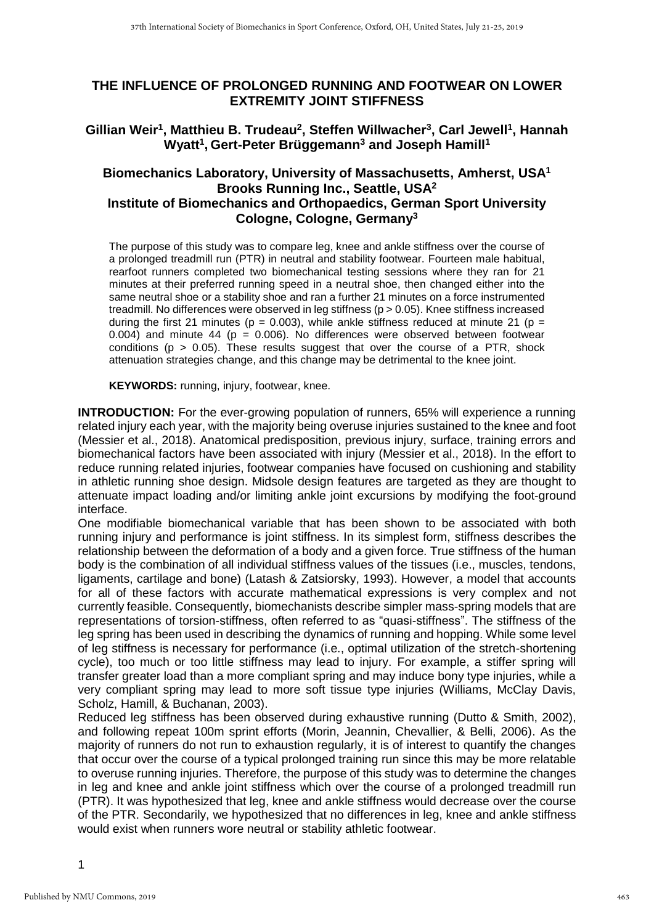## **THE INFLUENCE OF PROLONGED RUNNING AND FOOTWEAR ON LOWER EXTREMITY JOINT STIFFNESS**

## **Gillian Weir<sup>1</sup> , Matthieu B. Trudeau<sup>2</sup> , Steffen Willwacher<sup>3</sup> , Carl Jewell<sup>1</sup> , Hannah Wyatt<sup>1</sup> , Gert-Peter Brüggemann<sup>3</sup> and Joseph Hamill<sup>1</sup>**

## **Biomechanics Laboratory, University of Massachusetts, Amherst, USA<sup>1</sup> Brooks Running Inc., Seattle, USA<sup>2</sup> Institute of Biomechanics and Orthopaedics, German Sport University Cologne, Cologne, Germany<sup>3</sup>**

The purpose of this study was to compare leg, knee and ankle stiffness over the course of a prolonged treadmill run (PTR) in neutral and stability footwear. Fourteen male habitual, rearfoot runners completed two biomechanical testing sessions where they ran for 21 minutes at their preferred running speed in a neutral shoe, then changed either into the same neutral shoe or a stability shoe and ran a further 21 minutes on a force instrumented treadmill. No differences were observed in leg stiffness (p > 0.05). Knee stiffness increased during the first 21 minutes ( $p = 0.003$ ), while ankle stiffness reduced at minute 21 ( $p =$ 0.004) and minute 44 ( $p = 0.006$ ). No differences were observed between footwear conditions ( $p > 0.05$ ). These results suggest that over the course of a PTR, shock attenuation strategies change, and this change may be detrimental to the knee joint.

**KEYWORDS:** running, injury, footwear, knee.

**INTRODUCTION:** For the ever-growing population of runners, 65% will experience a running related injury each year, with the majority being overuse injuries sustained to the knee and foot (Messier et al., 2018). Anatomical predisposition, previous injury, surface, training errors and biomechanical factors have been associated with injury (Messier et al., 2018). In the effort to reduce running related injuries, footwear companies have focused on cushioning and stability in athletic running shoe design. Midsole design features are targeted as they are thought to attenuate impact loading and/or limiting ankle joint excursions by modifying the foot-ground interface.

One modifiable biomechanical variable that has been shown to be associated with both running injury and performance is joint stiffness. In its simplest form, stiffness describes the relationship between the deformation of a body and a given force. True stiffness of the human body is the combination of all individual stiffness values of the tissues (i.e., muscles, tendons, ligaments, cartilage and bone) (Latash & Zatsiorsky, 1993). However, a model that accounts for all of these factors with accurate mathematical expressions is very complex and not currently feasible. Consequently, biomechanists describe simpler mass-spring models that are representations of torsion-stiffness, often referred to as "quasi-stiffness". The stiffness of the leg spring has been used in describing the dynamics of running and hopping. While some level of leg stiffness is necessary for performance (i.e., optimal utilization of the stretch-shortening cycle), too much or too little stiffness may lead to injury. For example, a stiffer spring will transfer greater load than a more compliant spring and may induce bony type injuries, while a very compliant spring may lead to more soft tissue type injuries (Williams, McClay Davis, Scholz, Hamill, & Buchanan, 2003).

Reduced leg stiffness has been observed during exhaustive running (Dutto & Smith, 2002), and following repeat 100m sprint efforts (Morin, Jeannin, Chevallier, & Belli, 2006). As the majority of runners do not run to exhaustion regularly, it is of interest to quantify the changes that occur over the course of a typical prolonged training run since this may be more relatable to overuse running injuries. Therefore, the purpose of this study was to determine the changes in leg and knee and ankle joint stiffness which over the course of a prolonged treadmill run (PTR). It was hypothesized that leg, knee and ankle stiffness would decrease over the course of the PTR. Secondarily, we hypothesized that no differences in leg, knee and ankle stiffness would exist when runners wore neutral or stability athletic footwear.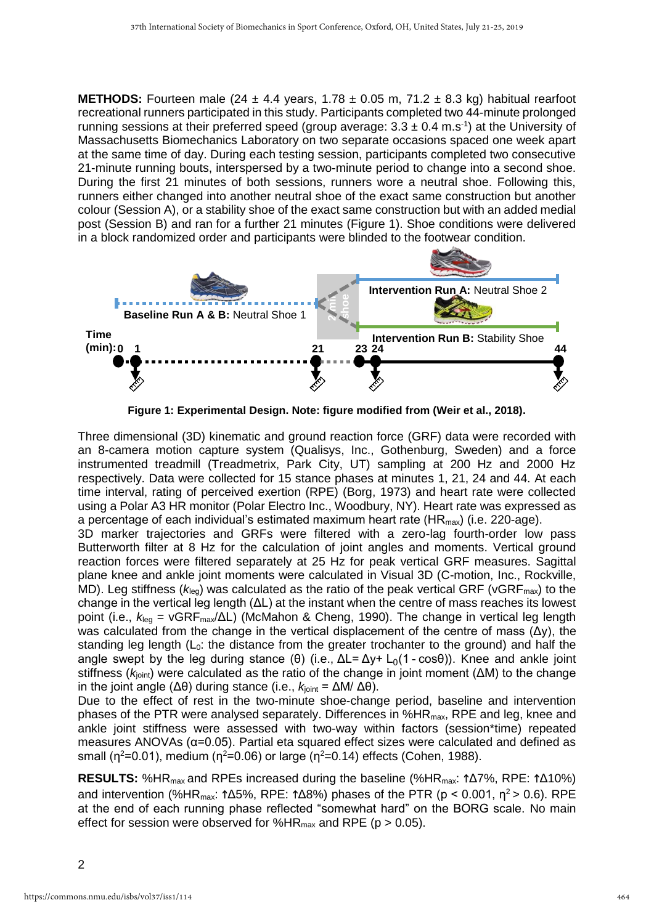**METHODS:** Fourteen male (24  $\pm$  4.4 years, 1.78  $\pm$  0.05 m, 71.2  $\pm$  8.3 kg) habitual rearfoot recreational runners participated in this study. Participants completed two 44-minute prolonged running sessions at their preferred speed (group average:  $3.3 \pm 0.4$  m.s<sup>-1</sup>) at the University of Massachusetts Biomechanics Laboratory on two separate occasions spaced one week apart at the same time of day. During each testing session, participants completed two consecutive 21-minute running bouts, interspersed by a two-minute period to change into a second shoe. During the first 21 minutes of both sessions, runners wore a neutral shoe. Following this, runners either changed into another neutral shoe of the exact same construction but another colour (Session A), or a stability shoe of the exact same construction but with an added medial post (Session B) and ran for a further 21 minutes (Figure 1). Shoe conditions were delivered in a block randomized order and participants were blinded to the footwear condition.



**Figure 1: Experimental Design. Note: figure modified from (Weir et al., 2018).**

Three dimensional (3D) kinematic and ground reaction force (GRF) data were recorded with an 8-camera motion capture system (Qualisys, Inc., Gothenburg, Sweden) and a force instrumented treadmill (Treadmetrix, Park City, UT) sampling at 200 Hz and 2000 Hz respectively. Data were collected for 15 stance phases at minutes 1, 21, 24 and 44. At each time interval, rating of perceived exertion (RPE) (Borg, 1973) and heart rate were collected using a Polar A3 HR monitor (Polar Electro Inc., Woodbury, NY). Heart rate was expressed as a percentage of each individual's estimated maximum heart rate  $(HR_{max})$  (i.e. 220-age).

3D marker trajectories and GRFs were filtered with a zero-lag fourth-order low pass Butterworth filter at 8 Hz for the calculation of joint angles and moments. Vertical ground reaction forces were filtered separately at 25 Hz for peak vertical GRF measures. Sagittal plane knee and ankle joint moments were calculated in Visual 3D (C-motion, Inc., Rockville, MD). Leg stiffness ( $k_{\text{leaf}}$ ) was calculated as the ratio of the peak vertical GRF (vGRF<sub>max</sub>) to the change in the vertical leg length (ΔL) at the instant when the centre of mass reaches its lowest point (i.e., *k*leg = vGRFmax/ΔL) (McMahon & Cheng, 1990). The change in vertical leg length was calculated from the change in the vertical displacement of the centre of mass  $(\Delta y)$ , the standing leg length  $(L_0:$  the distance from the greater trochanter to the ground) and half the angle swept by the leg during stance (θ) (i.e., ΔL= Δy+ L<sub>0</sub>(1 - cosθ)). Knee and ankle joint stiffness ( $k<sub>joint</sub>$ ) were calculated as the ratio of the change in joint moment (ΔM) to the change in the joint angle ( $Δθ$ ) during stance (i.e.,  $k_{joint} = ΔM/Δθ$ ). **Example Solution Example 11**<br> **Example for session A & B:** Neutral Shoe 1<br> **Conserved for Solution**<br> **Example 1:** Experimental Design. Note: figure officied from<br>
Time<br>
(min):0.1<br>
Were dimensional (3D) kinematic and gr

Due to the effect of rest in the two-minute shoe-change period, baseline and intervention phases of the PTR were analysed separately. Differences in %HR<sub>max</sub>, RPE and leg, knee and ankle joint stiffness were assessed with two-way within factors (session\*time) repeated measures ANOVAs (α=0.05). Partial eta squared effect sizes were calculated and defined as small ( $n^2$ =0.01), medium ( $n^2$ =0.06) or large ( $n^2$ =0.14) effects (Cohen, 1988).

RESULTS: %HR<sub>max</sub> and RPEs increased during the baseline (%HR<sub>max</sub>: ↑Δ7%, RPE: ↑Δ10%) and intervention (%HR<sub>max</sub>:  $\triangle$ 15%, RPE:  $\triangle$ 18%) phases of the PTR (p < 0.001, η<sup>2</sup> > 0.6). RPE at the end of each running phase reflected "somewhat hard" on the BORG scale. No main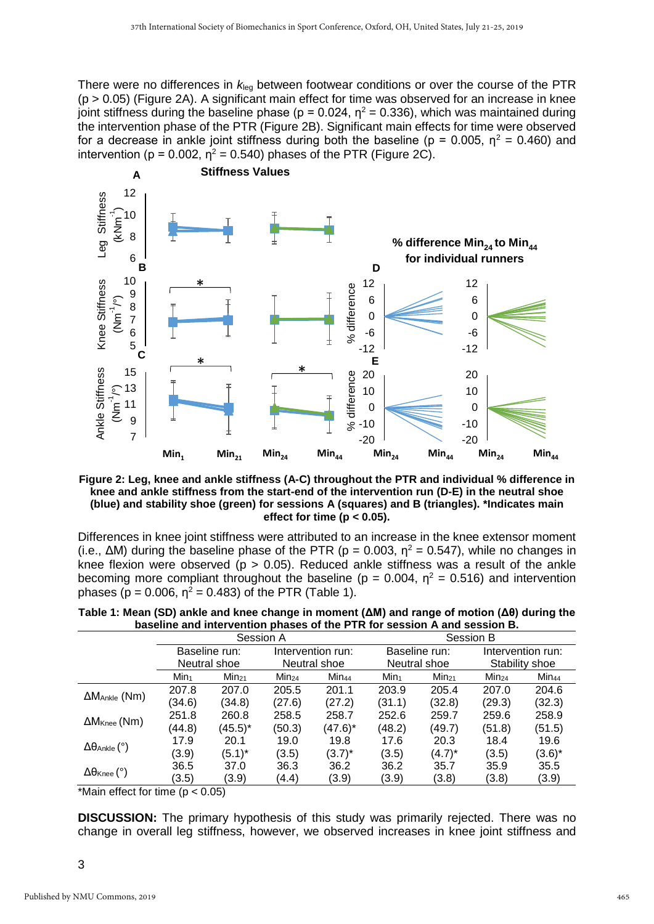There were no differences in *k*leg between footwear conditions or over the course of the PTR (p > 0.05) (Figure 2A). A significant main effect for time was observed for an increase in knee joint stiffness during the baseline phase ( $p = 0.024$ ,  $\eta^2 = 0.336$ ), which was maintained during the intervention phase of the PTR (Figure 2B). Significant main effects for time were observed for a decrease in ankle joint stiffness during both the baseline ( $p = 0.005$ ,  $\eta^2 = 0.460$ ) and intervention ( $p = 0.002$ ,  $\eta^2 = 0.540$ ) phases of the PTR (Figure 2C).



**Figure 2: Leg, knee and ankle stiffness (A-C) throughout the PTR and individual % difference in knee and ankle stiffness from the start-end of the intervention run (D-E) in the neutral shoe (blue) and stability shoe (green) for sessions A (squares) and B (triangles). \*Indicates main effect for time (p < 0.05).**

Differences in knee joint stiffness were attributed to an increase in the knee extensor moment (i.e.,  $\Delta M$ ) during the baseline phase of the PTR (p = 0.003,  $\eta^2$  = 0.547), while no changes in knee flexion were observed ( $p > 0.05$ ). Reduced ankle stiffness was a result of the ankle becoming more compliant throughout the baseline ( $p = 0.004$ ,  $\eta^2 = 0.516$ ) and intervention phases ( $p = 0.006$ ,  $\eta^2 = 0.483$ ) of the PTR (Table 1).

| ~~~~~!!!!~ ~!!~ !!!!~! * ~!!!!~!! ~!!~~~~ |                               |            |                                   |                   |                               |            |                                     |                   |  |
|-------------------------------------------|-------------------------------|------------|-----------------------------------|-------------------|-------------------------------|------------|-------------------------------------|-------------------|--|
|                                           | Session A                     |            |                                   |                   | Session B                     |            |                                     |                   |  |
|                                           | Baseline run:<br>Neutral shoe |            | Intervention run:<br>Neutral shoe |                   | Baseline run:<br>Neutral shoe |            | Intervention run:<br>Stability shoe |                   |  |
|                                           |                               |            |                                   |                   |                               |            |                                     |                   |  |
|                                           | Min <sub>1</sub>              | $Min_{21}$ | $Min_{24}$                        | Min <sub>44</sub> | Min <sub>1</sub>              | $Min_{21}$ | $Min_{24}$                          | Min <sub>44</sub> |  |
| $\Delta M$ Ankle (Nm)                     | 207.8                         | 207.0      | 205.5                             | 201.1             | 203.9                         | 205.4      | 207.0                               | 204.6             |  |
|                                           | (34.6)                        | (34.8)     | (27.6)                            | (27.2)            | (31.1)                        | (32.8)     | (29.3)                              | (32.3)            |  |
| $\Delta M$ <sub>Knee</sub> (Nm)           | 251.8                         | 260.8      | 258.5                             | 258.7             | 252.6                         | 259.7      | 259.6                               | 258.9             |  |
|                                           | (44.8)                        | $(45.5)^*$ | (50.3)                            | (47.6)*           | (48.2)                        | (49.7)     | (51.8)                              | (51.5)            |  |
| $\Delta\theta$ Ankle (°)                  | 17.9                          | 20.1       | 19.0                              | 19.8              | 17.6                          | 20.3       | 18.4                                | 19.6              |  |
|                                           | (3.9)                         | $(5.1)^*$  | (3.5)                             | $(3.7)^*$         | (3.5)                         | $(4.7)^*$  | (3.5)                               | $(3.6)^*$         |  |
| $\Delta\theta$ Knee ( $^{\circ}$ )        | 36.5                          | 37.0       | 36.3                              | 36.2              | 36.2                          | 35.7       | 35.9                                | 35.5              |  |
|                                           | (3.5)                         | (3.9)      | (4.4)                             | (3.9)             | (3.9)                         | (3.8)      | (3.8)                               | (3.9)             |  |

| Table 1: Mean (SD) ankle and knee change in moment ( $\Delta M$ ) and range of motion ( $\Delta \theta$ ) during the |  |
|----------------------------------------------------------------------------------------------------------------------|--|
| baseline and intervention phases of the PTR for session A and session B.                                             |  |

\*Main effect for time (p < 0.05)

**DISCUSSION:** The primary hypothesis of this study was primarily rejected. There was no change in overall leg stiffness, however, we observed increases in knee joint stiffness and